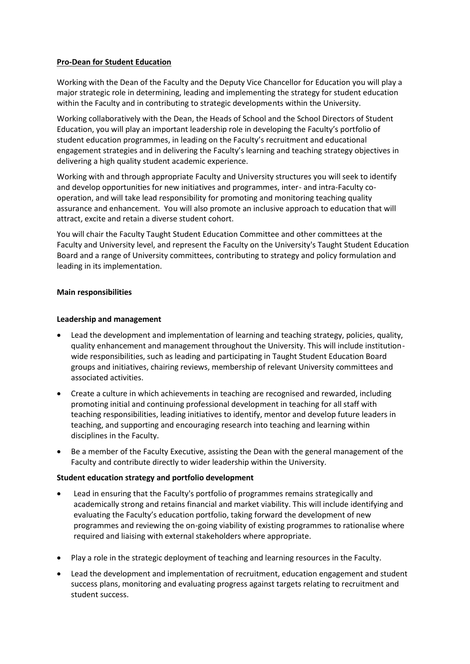### **Pro-Dean for Student Education**

Working with the Dean of the Faculty and the Deputy Vice Chancellor for Education you will play a major strategic role in determining, leading and implementing the strategy for student education within the Faculty and in contributing to strategic developments within the University.

Working collaboratively with the Dean, the Heads of School and the School Directors of Student Education, you will play an important leadership role in developing the Faculty's portfolio of student education programmes, in leading on the Faculty's recruitment and educational engagement strategies and in delivering the Faculty's learning and teaching strategy objectives in delivering a high quality student academic experience.

Working with and through appropriate Faculty and University structures you will seek to identify and develop opportunities for new initiatives and programmes, inter- and intra-Faculty cooperation, and will take lead responsibility for promoting and monitoring teaching quality assurance and enhancement. You will also promote an inclusive approach to education that will attract, excite and retain a diverse student cohort.

You will chair the Faculty Taught Student Education Committee and other committees at the Faculty and University level, and represent the Faculty on the University's Taught Student Education Board and a range of University committees, contributing to strategy and policy formulation and leading in its implementation.

# **Main responsibilities**

# **Leadership and management**

- Lead the development and implementation of learning and teaching strategy, policies, quality, quality enhancement and management throughout the University. This will include institutionwide responsibilities, such as leading and participating in Taught Student Education Board groups and initiatives, chairing reviews, membership of relevant University committees and associated activities.
- Create a culture in which achievements in teaching are recognised and rewarded, including promoting initial and continuing professional development in teaching for all staff with teaching responsibilities, leading initiatives to identify, mentor and develop future leaders in teaching, and supporting and encouraging research into teaching and learning within disciplines in the Faculty.
- Be a member of the Faculty Executive, assisting the Dean with the general management of the Faculty and contribute directly to wider leadership within the University.

### **Student education strategy and portfolio development**

- Lead in ensuring that the Faculty's portfolio of programmes remains strategically and academically strong and retains financial and market viability. This will include identifying and evaluating the Faculty's education portfolio, taking forward the development of new programmes and reviewing the on-going viability of existing programmes to rationalise where required and liaising with external stakeholders where appropriate.
- Play a role in the strategic deployment of teaching and learning resources in the Faculty.
- Lead the development and implementation of recruitment, education engagement and student success plans, monitoring and evaluating progress against targets relating to recruitment and student success.